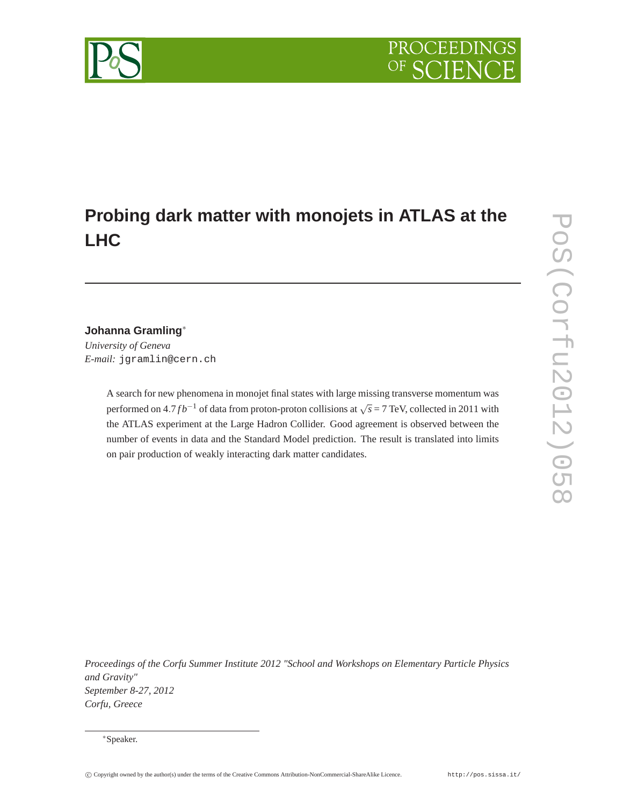# PROCEEDI

## **Probing dark matter with monojets in ATLAS at the LHC**

### **Johanna Gramling**∗

*University of Geneva E-mail:* jgramlin@cern.ch

> A search for new phenomena in monojet final states with large missing transverse momentum was performed on  $4.7 fb^{-1}$  of data from proton-proton collisions at  $\sqrt{s} = 7$  TeV, collected in 2011 with the ATLAS experiment at the Large Hadron Collider. Good agreement is observed between the number of events in data and the Standard Model prediction. The result is translated into limits on pair production of weakly interacting dark matter candidates.

*Proceedings of the Corfu Summer Institute 2012 "School and Workshops on Elementary Particle Physics and Gravity" September 8-27, 2012 Corfu, Greece*



<sup>∗</sup>Speaker.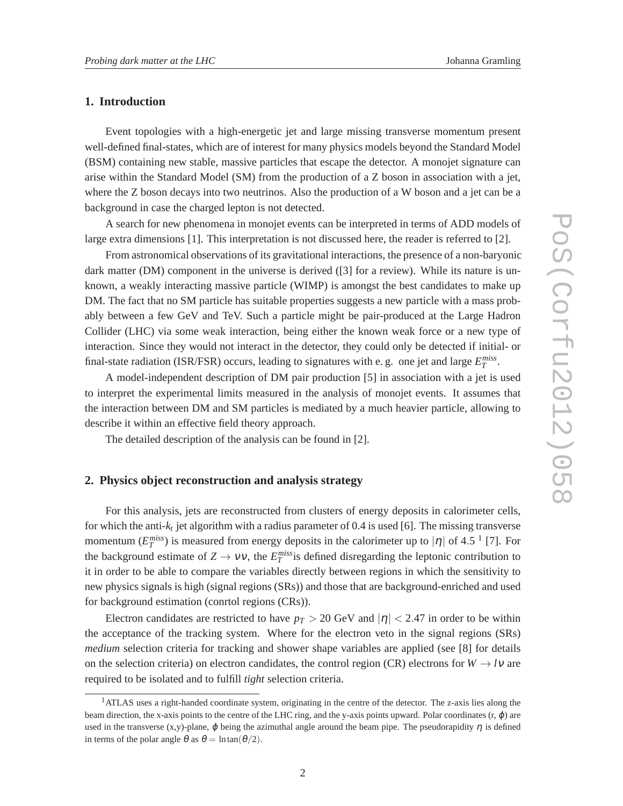#### **1. Introduction**

Event topologies with a high-energetic jet and large missing transverse momentum present well-defined final-states, which are of interest for many physics models beyond the Standard Model (BSM) containing new stable, massive particles that escape the detector. A monojet signature can arise within the Standard Model (SM) from the production of a Z boson in association with a jet, where the Z boson decays into two neutrinos. Also the production of a W boson and a jet can be a background in case the charged lepton is not detected.

A search for new phenomena in monojet events can be interpreted in terms of ADD models of large extra dimensions [1]. This interpretation is not discussed here, the reader is referred to [2].

From astronomical observations of its gravitational interactions, the presence of a non-baryonic dark matter (DM) component in the universe is derived ([3] for a review). While its nature is unknown, a weakly interacting massive particle (WIMP) is amongst the best candidates to make up DM. The fact that no SM particle has suitable properties suggests a new particle with a mass probably between a few GeV and TeV. Such a particle might be pair-produced at the Large Hadron Collider (LHC) via some weak interaction, being either the known weak force or a new type of interaction. Since they would not interact in the detector, they could only be detected if initial- or final-state radiation (ISR/FSR) occurs, leading to signatures with e. g. one jet and large  $E_T^{miss}$ .

A model-independent description of DM pair production [5] in association with a jet is used to interpret the experimental limits measured in the analysis of monojet events. It assumes that the interaction between DM and SM particles is mediated by a much heavier particle, allowing to describe it within an effective field theory approach.

The detailed description of the analysis can be found in [2].

#### **2. Physics object reconstruction and analysis strategy**

For this analysis, jets are reconstructed from clusters of energy deposits in calorimeter cells, for which the anti-*k<sup>t</sup>* jet algorithm with a radius parameter of 0.4 is used [6]. The missing transverse momentum  $(E_T^{miss})$  is measured from energy deposits in the calorimeter up to  $|\eta|$  of 4.5<sup>-1</sup> [7]. For the background estimate of  $Z \to VV$ , the  $E_T^{miss}$  is defined disregarding the leptonic contribution to it in order to be able to compare the variables directly between regions in which the sensitivity to new physics signals is high (signal regions (SRs)) and those that are background-enriched and used for background estimation (conrtol regions (CRs)).

Electron candidates are restricted to have  $p_T > 20$  GeV and  $|\eta| < 2.47$  in order to be within the acceptance of the tracking system. Where for the electron veto in the signal regions (SRs) *medium* selection criteria for tracking and shower shape variables are applied (see [8] for details on the selection criteria) on electron candidates, the control region (CR) electrons for  $W \rightarrow l\nu$  are required to be isolated and to fulfill *tight* selection criteria.

<sup>&</sup>lt;sup>1</sup>ATLAS uses a right-handed coordinate system, originating in the centre of the detector. The z-axis lies along the beam direction, the x-axis points to the centre of the LHC ring, and the y-axis points upward. Polar coordinates  $(r, \phi)$  are used in the transverse (x,y)-plane,  $\varphi$  being the azimuthal angle around the beam pipe. The pseudorapidity  $\eta$  is defined in terms of the polar angle  $\theta$  as  $\theta = \ln \tan(\theta/2)$ .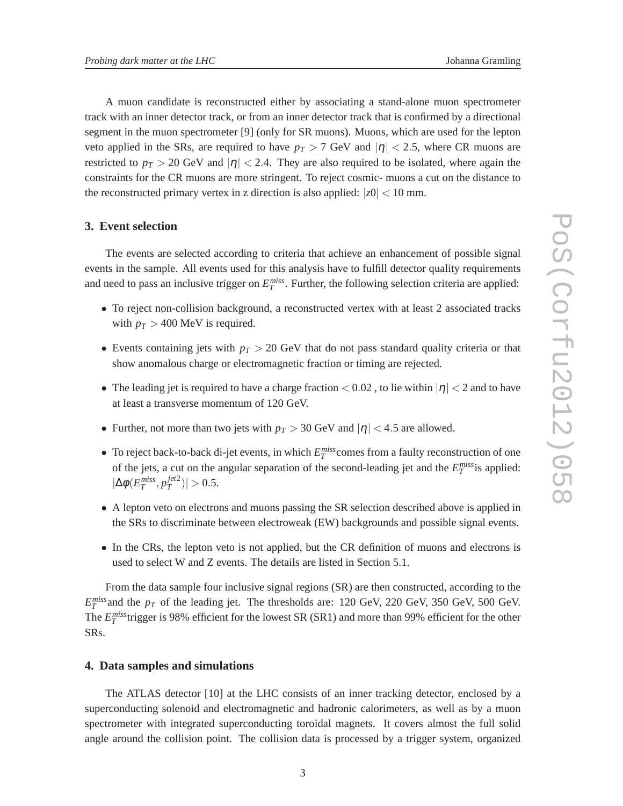A muon candidate is reconstructed either by associating a stand-alone muon spectrometer track with an inner detector track, or from an inner detector track that is confirmed by a directional segment in the muon spectrometer [9] (only for SR muons). Muons, which are used for the lepton veto applied in the SRs, are required to have  $p<sub>T</sub> > 7$  GeV and  $|\eta| < 2.5$ , where CR muons are restricted to  $p_T > 20$  GeV and  $|\eta| < 2.4$ . They are also required to be isolated, where again the constraints for the CR muons are more stringent. To reject cosmic- muons a cut on the distance to the reconstructed primary vertex in z direction is also applied:  $|z_0|$  < 10 mm.

#### **3. Event selection**

The events are selected according to criteria that achieve an enhancement of possible signal events in the sample. All events used for this analysis have to fulfill detector quality requirements and need to pass an inclusive trigger on  $E_T^{miss}$ . Further, the following selection criteria are applied:

- To reject non-collision background, a reconstructed vertex with at least 2 associated tracks with  $p_T > 400$  MeV is required.
- Events containing jets with  $p_T > 20$  GeV that do not pass standard quality criteria or that show anomalous charge or electromagnetic fraction or timing are rejected.
- The leading jet is required to have a charge fraction  $< 0.02$ , to lie within  $|\eta| < 2$  and to have at least a transverse momentum of 120 GeV.
- Further, not more than two jets with  $p_T > 30$  GeV and  $|\eta| < 4.5$  are allowed.
- To reject back-to-back di-jet events, in which  $E_T^{miss}$  comes from a faulty reconstruction of one of the jets, a cut on the angular separation of the second-leading jet and the  $E_T^{miss}$  is applied:  $|\Delta \phi(E_T^{miss}, p_T^{jet2})|$  $\left| \frac{f^{e_1} z}{T} \right| > 0.5.$
- A lepton veto on electrons and muons passing the SR selection described above is applied in the SRs to discriminate between electroweak (EW) backgrounds and possible signal events.
- In the CRs, the lepton veto is not applied, but the CR definition of muons and electrons is used to select W and Z events. The details are listed in Section 5.1.

From the data sample four inclusive signal regions (SR) are then constructed, according to the  $E_T^{miss}$  and the  $p_T$  of the leading jet. The thresholds are: 120 GeV, 220 GeV, 350 GeV, 500 GeV. The  $E_T^{miss}$  trigger is 98% efficient for the lowest SR (SR1) and more than 99% efficient for the other SRs.

#### **4. Data samples and simulations**

The ATLAS detector [10] at the LHC consists of an inner tracking detector, enclosed by a superconducting solenoid and electromagnetic and hadronic calorimeters, as well as by a muon spectrometer with integrated superconducting toroidal magnets. It covers almost the full solid angle around the collision point. The collision data is processed by a trigger system, organized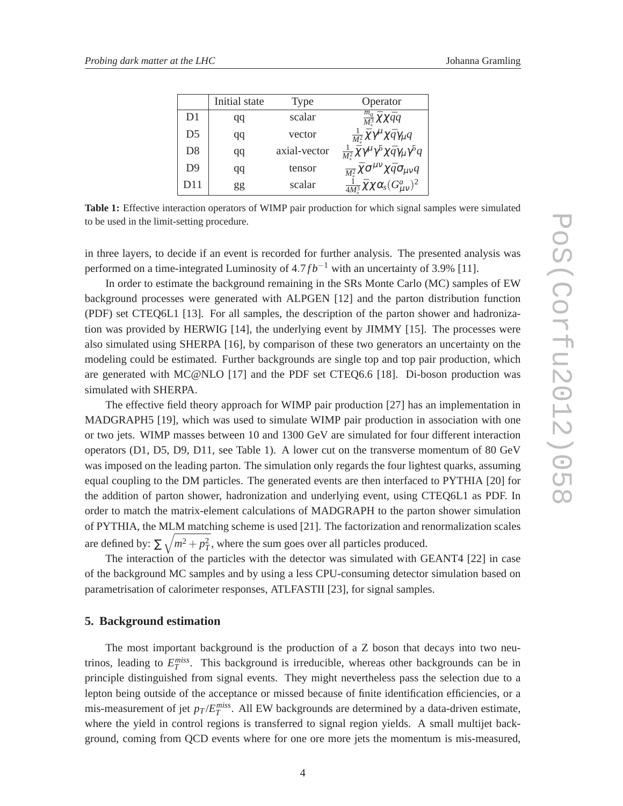|                | Initial state | Type         | Operator                                                                          |
|----------------|---------------|--------------|-----------------------------------------------------------------------------------|
| D1             | qq            | scalar       | $\frac{m_q}{M^3} \bar{\chi} \chi \bar{q} q$                                       |
| D <sub>5</sub> | qq            | vector       | $\frac{1}{M^2}\bar{\chi}\gamma^{\mu}\chi\bar{q}\gamma_{\mu}q$                     |
| D <sub>8</sub> | qq            | axial-vector | $\frac{1}{M^2} \bar{\chi} \gamma^\mu \gamma^5 \chi \bar{q} \gamma_\mu \gamma^5 q$ |
| D <sub>9</sub> | qq            | tensor       | $\frac{1}{M_{*}^2} \bar{\chi} \sigma^{\mu\nu} \chi \bar{q} \sigma_{\mu\nu} q$     |
| D11            | gg            | scalar       | $\frac{1}{4M_{*}^3}\bar{\chi}\chi\alpha_s(G_{\mu\nu}^a)^2$                        |

**Table 1:** Effective interaction operators of WIMP pair production for which signal samples were simulated to be used in the limit-setting procedure.

in three layers, to decide if an event is recorded for further analysis. The presented analysis was performed on a time-integrated Luminosity of  $4.7 fb^{-1}$  with an uncertainty of 3.9% [11].

In order to estimate the background remaining in the SRs Monte Carlo (MC) samples of EW background processes were generated with ALPGEN [12] and the parton distribution function (PDF) set CTEQ6L1 [13]. For all samples, the description of the parton shower and hadronization was provided by HERWIG [14], the underlying event by JIMMY [15]. The processes were also simulated using SHERPA [16], by comparison of these two generators an uncertainty on the modeling could be estimated. Further backgrounds are single top and top pair production, which are generated with MC@NLO [17] and the PDF set CTEQ6.6 [18]. Di-boson production was simulated with SHERPA.

The effective field theory approach for WIMP pair production [27] has an implementation in MADGRAPH5 [19], which was used to simulate WIMP pair production in association with one or two jets. WIMP masses between 10 and 1300 GeV are simulated for four different interaction operators (D1, D5, D9, D11, see Table 1). A lower cut on the transverse momentum of 80 GeV was imposed on the leading parton. The simulation only regards the four lightest quarks, assuming equal coupling to the DM particles. The generated events are then interfaced to PYTHIA [20] for the addition of parton shower, hadronization and underlying event, using CTEQ6L1 as PDF. In order to match the matrix-element calculations of MADGRAPH to the parton shower simulation of PYTHIA, the MLM matching scheme is used [21]. The factorization and renormalization scales are defined by:  $\sum \sqrt{m^2 + p_T^2}$ , where the sum goes over all particles produced.

The interaction of the particles with the detector was simulated with GEANT4 [22] in case of the background MC samples and by using a less CPU-consuming detector simulation based on parametrisation of calorimeter responses, ATLFASTII [23], for signal samples.

#### **5. Background estimation**

The most important background is the production of a Z boson that decays into two neutrinos, leading to  $E_T^{miss}$ . This background is irreducible, whereas other backgrounds can be in principle distinguished from signal events. They might nevertheless pass the selection due to a lepton being outside of the acceptance or missed because of finite identification efficiencies, or a mis-measurement of jet  $p_T / E_T^{miss}$ . All EW backgrounds are determined by a data-driven estimate, where the yield in control regions is transferred to signal region yields. A small multijet background, coming from QCD events where for one ore more jets the momentum is mis-measured,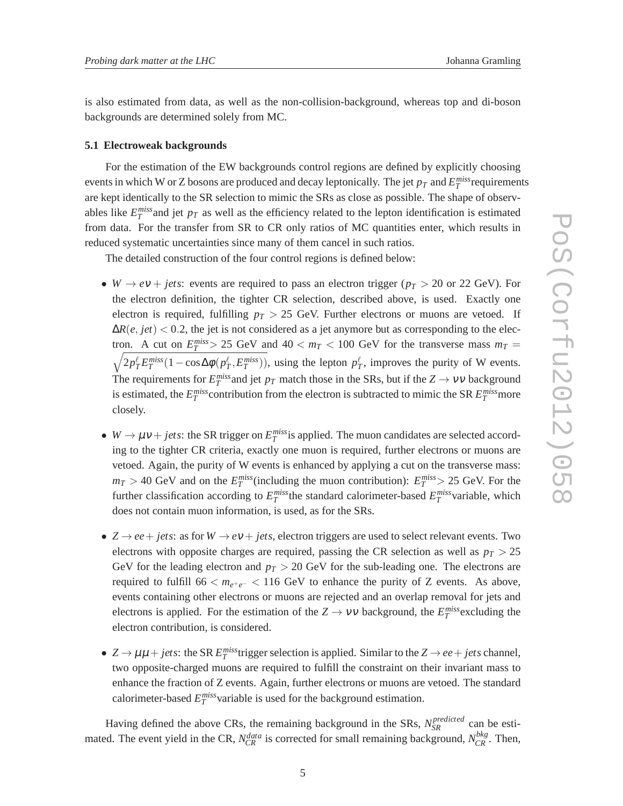is also estimated from data, as well as the non-collision-background, whereas top and di-boson backgrounds are determined solely from MC.

#### **5.1 Electroweak backgrounds**

For the estimation of the EW backgrounds control regions are defined by explicitly choosing events in which W or Z bosons are produced and decay leptonically. The jet  $p_T$  and  $E_T^{miss}$  requirements are kept identically to the SR selection to mimic the SRs as close as possible. The shape of observables like  $E_T^{miss}$  and jet  $p_T$  as well as the efficiency related to the lepton identification is estimated from data. For the transfer from SR to CR only ratios of MC quantities enter, which results in reduced systematic uncertainties since many of them cancel in such ratios.

The detailed construction of the four control regions is defined below:

- *W*  $\rightarrow$  *ev* + *jets*: events are required to pass an electron trigger ( $p_T > 20$  or 22 GeV). For the electron definition, the tighter CR selection, described above, is used. Exactly one electron is required, fulfilling  $p_T > 25$  GeV. Further electrons or muons are vetoed. If  $\Delta R(e, jet)$  < 0.2, the jet is not considered as a jet anymore but as corresponding to the electron. A cut on  $E_T^{miss} > 25$  GeV and  $40 < m_T < 100$  GeV for the transverse mass  $m_T =$  $\sqrt{2p_T^{\ell}E_T^{miss}(1-\cos\Delta\phi(p_T^{\ell}, E_T^{miss}))}$ , using the lepton  $p_T^{\ell}$ , improves the purity of W events. The requirements for  $E_T^{miss}$  and jet  $p_T$  match those in the SRs, but if the  $Z \to \nu \nu$  background is estimated, the  $E_T^{miss}$  contribution from the electron is subtracted to mimic the SR  $E_T^{miss}$  more closely.
- $W \to \mu v + jets$ : the SR trigger on  $E_T^{miss}$  is applied. The muon candidates are selected according to the tighter CR criteria, exactly one muon is required, further electrons or muons are vetoed. Again, the purity of W events is enhanced by applying a cut on the transverse mass:  $m_T > 40$  GeV and on the  $E_T^{miss}$  (including the muon contribution):  $E_T^{miss} > 25$  GeV. For the further classification according to  $E_T^{miss}$  the standard calorimeter-based  $E_T^{miss}$  variable, which does not contain muon information, is used, as for the SRs.
- $Z \rightarrow ee + jets$ : as for  $W \rightarrow ev + jets$ , electron triggers are used to select relevant events. Two electrons with opposite charges are required, passing the CR selection as well as  $p_T > 25$ GeV for the leading electron and  $p_T > 20$  GeV for the sub-leading one. The electrons are required to fulfill  $66 < m_{e^+e^-} < 116$  GeV to enhance the purity of Z events. As above, events containing other electrons or muons are rejected and an overlap removal for jets and electrons is applied. For the estimation of the  $Z \rightarrow VV$  background, the  $E_T^{miss}$  excluding the electron contribution, is considered.
- $Z \rightarrow \mu\mu + jets$ : the SR  $E_T^{miss}$  trigger selection is applied. Similar to the  $Z \rightarrow ee + jets$  channel, two opposite-charged muons are required to fulfill the constraint on their invariant mass to enhance the fraction of Z events. Again, further electrons or muons are vetoed. The standard calorimeter-based  $E_T^{miss}$  variable is used for the background estimation.

Having defined the above CRs, the remaining background in the SRs,  $N_{SR}^{predicted}$  can be estimated. The event yield in the CR,  $N_{CR}^{data}$  is corrected for small remaining background,  $N_{CR}^{bkg}$ . Then,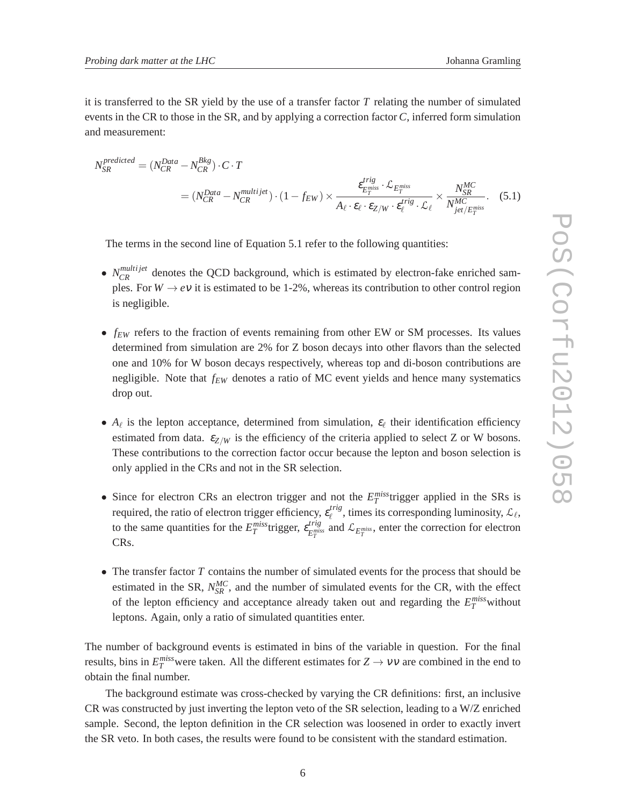it is transferred to the SR yield by the use of a transfer factor *T* relating the number of simulated events in the CR to those in the SR, and by applying a correction factor *C*, inferred form simulation and measurement:

$$
N_{SR}^{predicted} = (N_{CR}^{Data} - N_{CR}^{Bkg}) \cdot C \cdot T
$$
  
=  $(N_{CR}^{Data} - N_{CR}^{multijet}) \cdot (1 - f_{EW}) \times \frac{\varepsilon_{E_T^{miss}}^{trig} \cdot \mathcal{L}_{E_T^{miss}}}{A_{\ell} \cdot \varepsilon_{\ell} \cdot \varepsilon_{Z/W} \cdot \varepsilon_{\ell}^{trig} \cdot \mathcal{L}_{\ell}} \times \frac{N_{SR}^{MC}}{N_{jet/E_T^{miss}}^{MC}}.$  (5.1)

The terms in the second line of Equation 5.1 refer to the following quantities:

- $N_{CR}^{multijet}$  denotes the QCD background, which is estimated by electron-fake enriched samples. For  $W \to e\nu$  it is estimated to be 1-2%, whereas its contribution to other control region is negligible.
- *f<sub>EW</sub>* refers to the fraction of events remaining from other EW or SM processes. Its values determined from simulation are 2% for Z boson decays into other flavors than the selected one and 10% for W boson decays respectively, whereas top and di-boson contributions are negligible. Note that *fEW* denotes a ratio of MC event yields and hence many systematics drop out.
- $A_{\ell}$  is the lepton acceptance, determined from simulation,  $\varepsilon_{\ell}$  their identification efficiency estimated from data.  $\varepsilon_{Z/W}$  is the efficiency of the criteria applied to select Z or W bosons. These contributions to the correction factor occur because the lepton and boson selection is only applied in the CRs and not in the SR selection.
- Since for electron CRs an electron trigger and not the  $E_T^{miss}$  trigger applied in the SRs is required, the ratio of electron trigger efficiency,  $\varepsilon_{\ell}^{trig}$  $e^{trig}$ , times its corresponding luminosity,  $\mathcal{L}_\ell$ , to the same quantities for the  $E_T^{miss}$  trigger,  $\varepsilon_{E_T^{mis}}^{trig}$  $E_T^{trig}$  and  $\mathcal{L}_{E_T^{miss}}$ , enter the correction for electron CRs.
- The transfer factor *T* contains the number of simulated events for the process that should be estimated in the SR,  $N_{SR}^{MC}$ , and the number of simulated events for the CR, with the effect of the lepton efficiency and acceptance already taken out and regarding the  $E_T^{miss}$  without leptons. Again, only a ratio of simulated quantities enter.

The number of background events is estimated in bins of the variable in question. For the final results, bins in  $E_T^{miss}$  were taken. All the different estimates for  $Z \to VV$  are combined in the end to obtain the final number.

The background estimate was cross-checked by varying the CR definitions: first, an inclusive CR was constructed by just inverting the lepton veto of the SR selection, leading to a W/Z enriched sample. Second, the lepton definition in the CR selection was loosened in order to exactly invert the SR veto. In both cases, the results were found to be consistent with the standard estimation.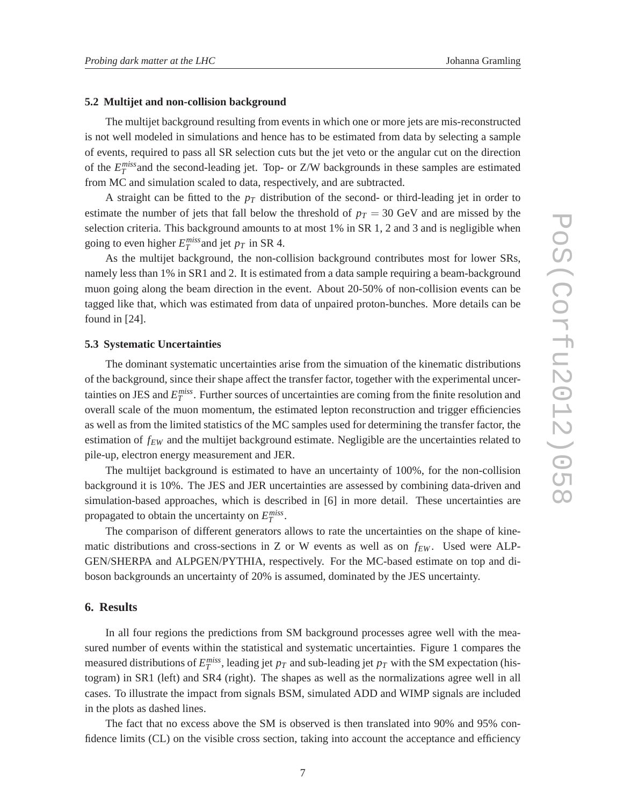#### **5.2 Multijet and non-collision background**

The multijet background resulting from events in which one or more jets are mis-reconstructed is not well modeled in simulations and hence has to be estimated from data by selecting a sample of events, required to pass all SR selection cuts but the jet veto or the angular cut on the direction of the  $E_T^{miss}$  and the second-leading jet. Top- or Z/W backgrounds in these samples are estimated from MC and simulation scaled to data, respectively, and are subtracted.

A straight can be fitted to the  $p<sub>T</sub>$  distribution of the second- or third-leading jet in order to estimate the number of jets that fall below the threshold of  $p_T = 30$  GeV and are missed by the selection criteria. This background amounts to at most 1% in SR 1, 2 and 3 and is negligible when going to even higher  $E_T^{miss}$  and jet  $p_T$  in SR 4.

As the multijet background, the non-collision background contributes most for lower SRs, namely less than 1% in SR1 and 2. It is estimated from a data sample requiring a beam-background muon going along the beam direction in the event. About 20-50% of non-collision events can be tagged like that, which was estimated from data of unpaired proton-bunches. More details can be found in [24].

#### **5.3 Systematic Uncertainties**

The dominant systematic uncertainties arise from the simuation of the kinematic distributions of the background, since their shape affect the transfer factor, together with the experimental uncertainties on JES and  $E_T^{miss}$ . Further sources of uncertainties are coming from the finite resolution and overall scale of the muon momentum, the estimated lepton reconstruction and trigger efficiencies as well as from the limited statistics of the MC samples used for determining the transfer factor, the estimation of *fEW* and the multijet background estimate. Negligible are the uncertainties related to pile-up, electron energy measurement and JER.

The multijet background is estimated to have an uncertainty of 100%, for the non-collision background it is 10%. The JES and JER uncertainties are assessed by combining data-driven and simulation-based approaches, which is described in [6] in more detail. These uncertainties are propagated to obtain the uncertainty on  $E_T^{miss}$ .

The comparison of different generators allows to rate the uncertainties on the shape of kinematic distributions and cross-sections in Z or W events as well as on  $f_{EW}$ . Used were ALP-GEN/SHERPA and ALPGEN/PYTHIA, respectively. For the MC-based estimate on top and diboson backgrounds an uncertainty of 20% is assumed, dominated by the JES uncertainty.

#### **6. Results**

In all four regions the predictions from SM background processes agree well with the measured number of events within the statistical and systematic uncertainties. Figure 1 compares the measured distributions of  $E_T^{miss}$ , leading jet  $p_T$  and sub-leading jet  $p_T$  with the SM expectation (histogram) in SR1 (left) and SR4 (right). The shapes as well as the normalizations agree well in all cases. To illustrate the impact from signals BSM, simulated ADD and WIMP signals are included in the plots as dashed lines.

The fact that no excess above the SM is observed is then translated into 90% and 95% confidence limits (CL) on the visible cross section, taking into account the acceptance and efficiency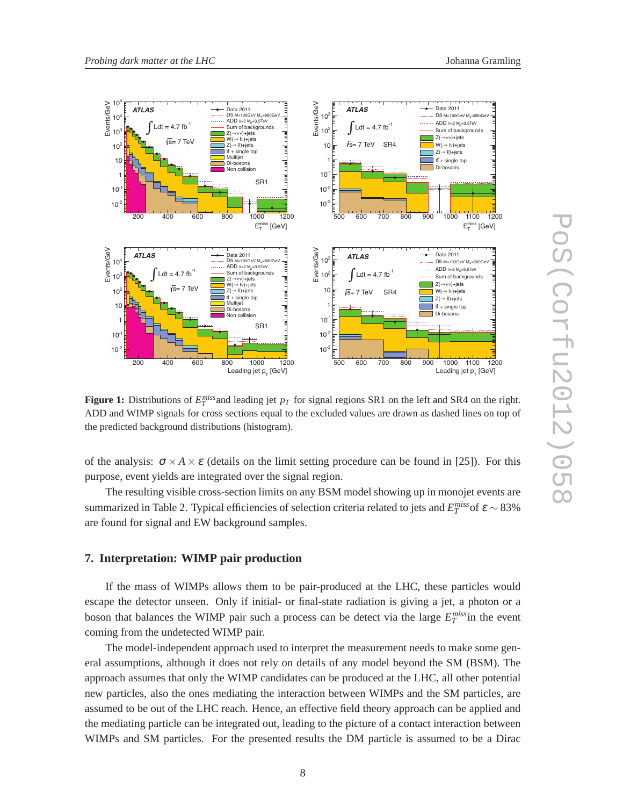

**Figure 1:** Distributions of  $E_T^{miss}$  and leading jet  $p_T$  for signal regions SR1 on the left and SR4 on the right. ADD and WIMP signals for cross sections equal to the excluded values are drawn as dashed lines on top of the predicted background distributions (histogram).

of the analysis:  $\sigma \times A \times \varepsilon$  (details on the limit setting procedure can be found in [25]). For this purpose, event yields are integrated over the signal region.

The resulting visible cross-section limits on any BSM model showing up in monojet events are summarized in Table 2. Typical efficiencies of selection criteria related to jets and  $E_T^{miss}$  of  $\varepsilon \sim 83\%$ are found for signal and EW background samples.

#### **7. Interpretation: WIMP pair production**

If the mass of WIMPs allows them to be pair-produced at the LHC, these particles would escape the detector unseen. Only if initial- or final-state radiation is giving a jet, a photon or a boson that balances the WIMP pair such a process can be detect via the large  $E_T^{miss}$  in the event coming from the undetected WIMP pair.

The model-independent approach used to interpret the measurement needs to make some general assumptions, although it does not rely on details of any model beyond the SM (BSM). The approach assumes that only the WIMP candidates can be produced at the LHC, all other potential new particles, also the ones mediating the interaction between WIMPs and the SM particles, are assumed to be out of the LHC reach. Hence, an effective field theory approach can be applied and the mediating particle can be integrated out, leading to the picture of a contact interaction between WIMPs and SM particles. For the presented results the DM particle is assumed to be a Dirac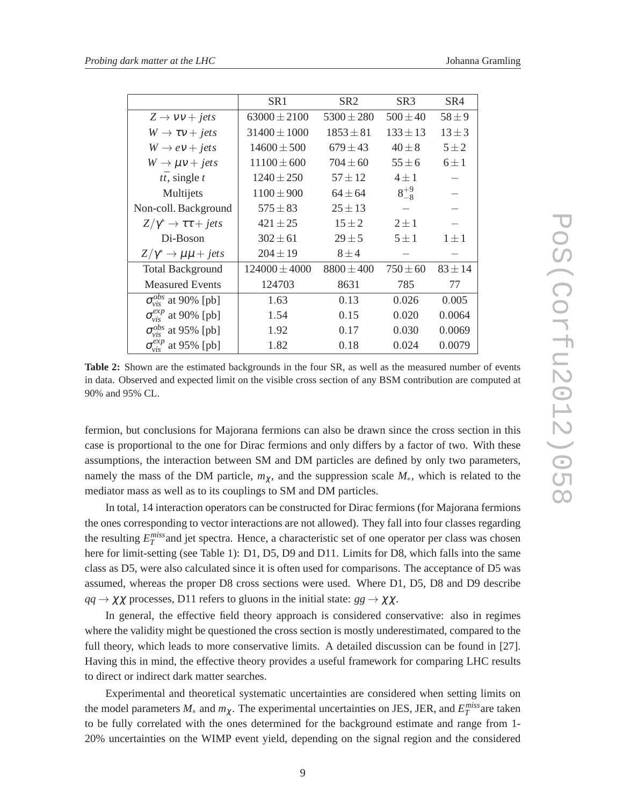|                                           | SR <sub>1</sub>   | SR <sub>2</sub> | SR <sub>3</sub> | SR4         |
|-------------------------------------------|-------------------|-----------------|-----------------|-------------|
| $Z \rightarrow VV + jets$                 | $63000 \pm 2100$  | $5300 \pm 280$  | $500 \pm 40$    | $58 + 9$    |
| $W \rightarrow \tau v + jets$             | $31400 \pm 1000$  | $1853 \pm 81$   | $133 \pm 13$    | $13 \pm 3$  |
| $W \rightarrow eV + jets$                 | $14600 \pm 500$   | $679 \pm 43$    | $40 \pm 8$      | $5\pm 2$    |
| $W \rightarrow \mu v + jets$              | $11100 \pm 600$   | $704 \pm 60$    | $55 \pm 6$      | $6 \pm 1$   |
| $t\bar{t}$ , single t                     | $1240 \pm 250$    | $57 \pm 12$     | $4 \pm 1$       |             |
| Multijets                                 | $1100 \pm 900$    | $64 \pm 64$     | $8^{+9}_{-8}$   |             |
| Non-coll. Background                      | $575 \pm 83$      | $25 \pm 13$     |                 |             |
| $Z/\gamma^* \rightarrow \tau \tau + jets$ | $421 \pm 25$      | $15 \pm 2$      | $2 \pm 1$       |             |
| Di-Boson                                  | $302 \pm 61$      | $29 \pm 5$      | $5 \pm 1$       | $1 \pm 1$   |
| $Z/\gamma^* \rightarrow \mu\mu + jets$    | $204 \pm 19$      | $8 \pm 4$       |                 |             |
| <b>Total Background</b>                   | $124000 \pm 4000$ | $8800 \pm 400$  | $750 \pm 60$    | $83 \pm 14$ |
| <b>Measured Events</b>                    | 124703            | 8631            | 785             | 77          |
| $\sigma_{\rm visc}^{obs}$ at 90% [pb]     | 1.63              | 0.13            | 0.026           | 0.005       |
| $\sigma_{vis}^{exp}$ at 90% [pb]          | 1.54              | 0.15            | 0.020           | 0.0064      |
| $\sigma_{\rm vis}^{obs}$ at 95% [pb]      | 1.92              | 0.17            | 0.030           | 0.0069      |
| $\sigma_{vis}^{exp}$ at 95% [pb]          | 1.82              | 0.18            | 0.024           | 0.0079      |

**Table 2:** Shown are the estimated backgrounds in the four SR, as well as the measured number of events in data. Observed and expected limit on the visible cross section of any BSM contribution are computed at 90% and 95% CL.

fermion, but conclusions for Majorana fermions can also be drawn since the cross section in this case is proportional to the one for Dirac fermions and only differs by a factor of two. With these assumptions, the interaction between SM and DM particles are defined by only two parameters, namely the mass of the DM particle,  $m<sub>\chi</sub>$ , and the suppression scale  $M_*$ , which is related to the mediator mass as well as to its couplings to SM and DM particles.

In total, 14 interaction operators can be constructed for Dirac fermions (for Majorana fermions the ones corresponding to vector interactions are not allowed). They fall into four classes regarding the resulting  $E_T^{miss}$  and jet spectra. Hence, a characteristic set of one operator per class was chosen here for limit-setting (see Table 1): D1, D5, D9 and D11. Limits for D8, which falls into the same class as D5, were also calculated since it is often used for comparisons. The acceptance of D5 was assumed, whereas the proper D8 cross sections were used. Where D1, D5, D8 and D9 describe  $qq \rightarrow \chi \chi$  processes, D11 refers to gluons in the initial state:  $gg \rightarrow \chi \chi$ .

In general, the effective field theory approach is considered conservative: also in regimes where the validity might be questioned the cross section is mostly underestimated, compared to the full theory, which leads to more conservative limits. A detailed discussion can be found in [27]. Having this in mind, the effective theory provides a useful framework for comparing LHC results to direct or indirect dark matter searches.

Experimental and theoretical systematic uncertainties are considered when setting limits on the model parameters  $M_*$  and  $m_\chi$ . The experimental uncertainties on JES, JER, and  $E_T^{miss}$  are taken to be fully correlated with the ones determined for the background estimate and range from 1- 20% uncertainties on the WIMP event yield, depending on the signal region and the considered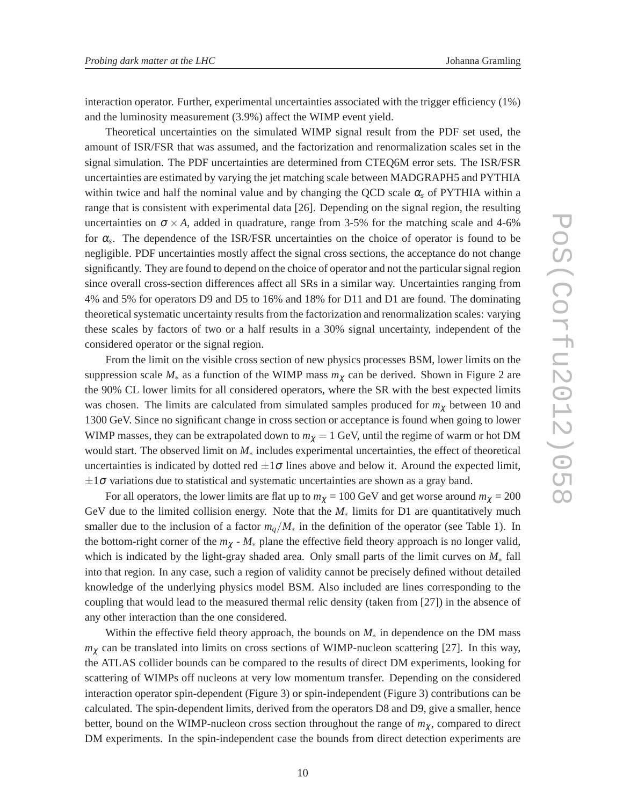interaction operator. Further, experimental uncertainties associated with the trigger efficiency (1%) and the luminosity measurement (3.9%) affect the WIMP event yield.

Theoretical uncertainties on the simulated WIMP signal result from the PDF set used, the amount of ISR/FSR that was assumed, and the factorization and renormalization scales set in the signal simulation. The PDF uncertainties are determined from CTEQ6M error sets. The ISR/FSR uncertainties are estimated by varying the jet matching scale between MADGRAPH5 and PYTHIA within twice and half the nominal value and by changing the QCD scale  $\alpha_s$  of PYTHIA within a range that is consistent with experimental data [26]. Depending on the signal region, the resulting uncertainties on  $\sigma \times A$ , added in quadrature, range from 3-5% for the matching scale and 4-6% for  $\alpha_s$ . The dependence of the ISR/FSR uncertainties on the choice of operator is found to be negligible. PDF uncertainties mostly affect the signal cross sections, the acceptance do not change significantly. They are found to depend on the choice of operator and not the particular signal region since overall cross-section differences affect all SRs in a similar way. Uncertainties ranging from 4% and 5% for operators D9 and D5 to 16% and 18% for D11 and D1 are found. The dominating theoretical systematic uncertainty results from the factorization and renormalization scales: varying these scales by factors of two or a half results in a 30% signal uncertainty, independent of the considered operator or the signal region.

From the limit on the visible cross section of new physics processes BSM, lower limits on the suppression scale *M*<sup>∗</sup> as a function of the WIMP mass *m*<sup>χ</sup> can be derived. Shown in Figure 2 are the 90% CL lower limits for all considered operators, where the SR with the best expected limits was chosen. The limits are calculated from simulated samples produced for  $m<sub>\chi</sub>$  between 10 and 1300 GeV. Since no significant change in cross section or acceptance is found when going to lower WIMP masses, they can be extrapolated down to  $m<sub>\chi</sub> = 1$  GeV, until the regime of warm or hot DM would start. The observed limit on *M*<sup>∗</sup> includes experimental uncertainties, the effect of theoretical uncertainties is indicated by dotted red  $\pm 1\sigma$  lines above and below it. Around the expected limit,  $\pm 1\sigma$  variations due to statistical and systematic uncertainties are shown as a gray band.

For all operators, the lower limits are flat up to  $m_{\chi} = 100 \text{ GeV}$  and get worse around  $m_{\chi} = 200$ GeV due to the limited collision energy. Note that the *M*<sup>∗</sup> limits for D1 are quantitatively much smaller due to the inclusion of a factor  $m_q/M_*$  in the definition of the operator (see Table 1). In the bottom-right corner of the  $m_\chi$  -  $M_*$  plane the effective field theory approach is no longer valid, which is indicated by the light-gray shaded area. Only small parts of the limit curves on  $M_*$  fall into that region. In any case, such a region of validity cannot be precisely defined without detailed knowledge of the underlying physics model BSM. Also included are lines corresponding to the coupling that would lead to the measured thermal relic density (taken from [27]) in the absence of any other interaction than the one considered.

Within the effective field theory approach, the bounds on *M*<sup>∗</sup> in dependence on the DM mass *m*<sup>χ</sup> can be translated into limits on cross sections of WIMP-nucleon scattering [27]. In this way, the ATLAS collider bounds can be compared to the results of direct DM experiments, looking for scattering of WIMPs off nucleons at very low momentum transfer. Depending on the considered interaction operator spin-dependent (Figure 3) or spin-independent (Figure 3) contributions can be calculated. The spin-dependent limits, derived from the operators D8 and D9, give a smaller, hence better, bound on the WIMP-nucleon cross section throughout the range of  $m<sub>\chi</sub>$ , compared to direct DM experiments. In the spin-independent case the bounds from direct detection experiments are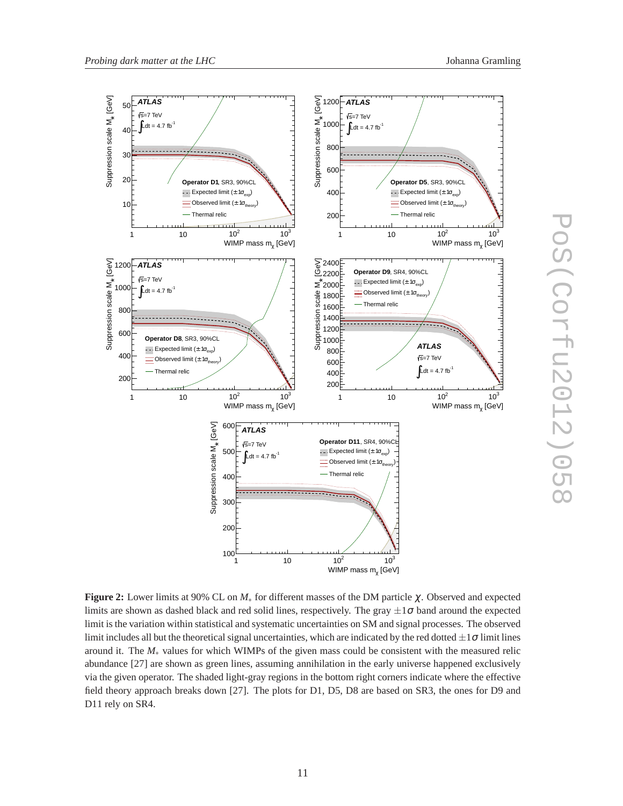

**Figure 2:** Lower limits at 90% CL on *M*<sup>∗</sup> for different masses of the DM particle <sup>χ</sup>. Observed and expected limits are shown as dashed black and red solid lines, respectively. The gray  $\pm 1\sigma$  band around the expected limit is the variation within statistical and systematic uncertainties on SM and signal processes. The observed limit includes all but the theoretical signal uncertainties, which are indicated by the red dotted  $\pm 1\sigma$  limit lines around it. The *M*<sup>∗</sup> values for which WIMPs of the given mass could be consistent with the measured relic abundance [27] are shown as green lines, assuming annihilation in the early universe happened exclusively via the given operator. The shaded light-gray regions in the bottom right corners indicate where the effective field theory approach breaks down [27]. The plots for D1, D5, D8 are based on SR3, the ones for D9 and D11 rely on SR4.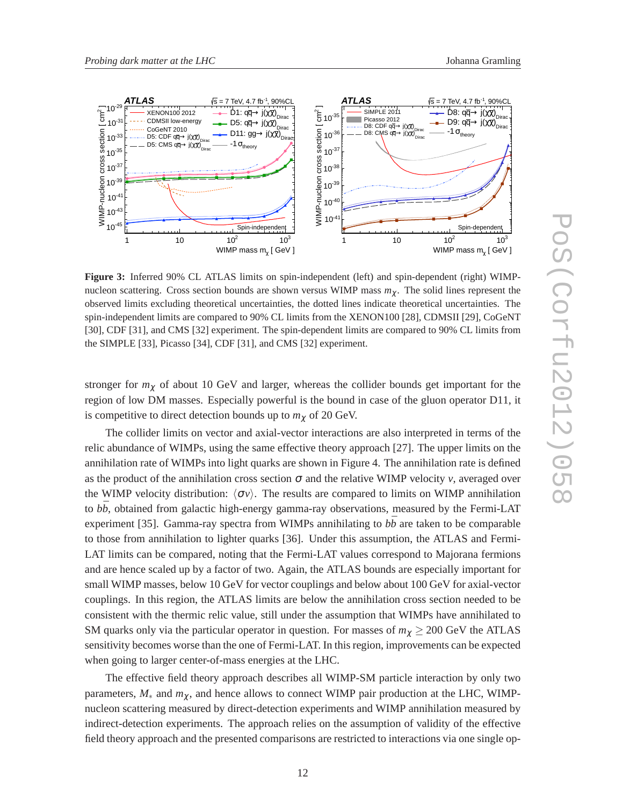

**Figure 3:** Inferred 90% CL ATLAS limits on spin-independent (left) and spin-dependent (right) WIMPnucleon scattering. Cross section bounds are shown versus WIMP mass *m*χ. The solid lines represent the observed limits excluding theoretical uncertainties, the dotted lines indicate theoretical uncertainties. The spin-independent limits are compared to 90% CL limits from the XENON100 [28], CDMSII [29], CoGeNT [30], CDF [31], and CMS [32] experiment. The spin-dependent limits are compared to 90% CL limits from the SIMPLE [33], Picasso [34], CDF [31], and CMS [32] experiment.

stronger for  $m<sub>\chi</sub>$  of about 10 GeV and larger, whereas the collider bounds get important for the region of low DM masses. Especially powerful is the bound in case of the gluon operator D11, it is competitive to direct detection bounds up to  $m<sub>\chi</sub>$  of 20 GeV.

The collider limits on vector and axial-vector interactions are also interpreted in terms of the relic abundance of WIMPs, using the same effective theory approach [27]. The upper limits on the annihilation rate of WIMPs into light quarks are shown in Figure 4. The annihilation rate is defined as the product of the annihilation cross section  $\sigma$  and the relative WIMP velocity *v*, averaged over the WIMP velocity distribution:  $\langle \sigma v \rangle$ . The results are compared to limits on WIMP annihilation to  $b\bar{b}$ , obtained from galactic high-energy gamma-ray observations, measured by the Fermi-LAT experiment [35]. Gamma-ray spectra from WIMPs annihilating to  $b\bar{b}$  are taken to be comparable to those from annihilation to lighter quarks [36]. Under this assumption, the ATLAS and Fermi-LAT limits can be compared, noting that the Fermi-LAT values correspond to Majorana fermions and are hence scaled up by a factor of two. Again, the ATLAS bounds are especially important for small WIMP masses, below 10 GeV for vector couplings and below about 100 GeV for axial-vector couplings. In this region, the ATLAS limits are below the annihilation cross section needed to be consistent with the thermic relic value, still under the assumption that WIMPs have annihilated to SM quarks only via the particular operator in question. For masses of  $m<sub>\gamma</sub> \geq 200$  GeV the ATLAS sensitivity becomes worse than the one of Fermi-LAT. In this region, improvements can be expected when going to larger center-of-mass energies at the LHC.

The effective field theory approach describes all WIMP-SM particle interaction by only two parameters,  $M_*$  and  $m_\gamma$ , and hence allows to connect WIMP pair production at the LHC, WIMPnucleon scattering measured by direct-detection experiments and WIMP annihilation measured by indirect-detection experiments. The approach relies on the assumption of validity of the effective field theory approach and the presented comparisons are restricted to interactions via one single op-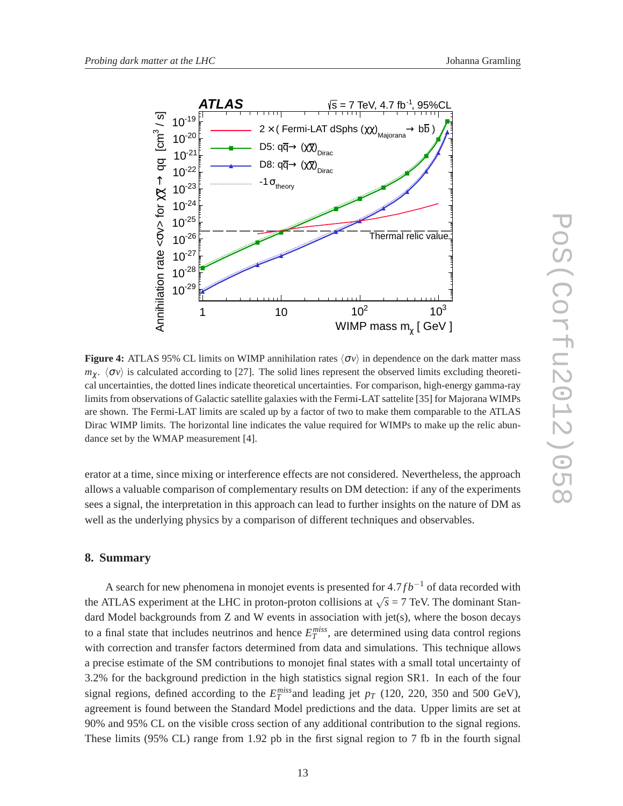

**Figure 4:** ATLAS 95% CL limits on WIMP annihilation rates  $\langle \sigma v \rangle$  in dependence on the dark matter mass  $m<sub>\chi</sub>$ .  $\langle \sigma v \rangle$  is calculated according to [27]. The solid lines represent the observed limits excluding theoretical uncertainties, the dotted lines indicate theoretical uncertainties. For comparison, high-energy gamma-ray limits from observations of Galactic satellite galaxies with the Fermi-LAT sattelite [35] for Majorana WIMPs are shown. The Fermi-LAT limits are scaled up by a factor of two to make them comparable to the ATLAS Dirac WIMP limits. The horizontal line indicates the value required for WIMPs to make up the relic abundance set by the WMAP measurement [4].

erator at a time, since mixing or interference effects are not considered. Nevertheless, the approach allows a valuable comparison of complementary results on DM detection: if any of the experiments sees a signal, the interpretation in this approach can lead to further insights on the nature of DM as well as the underlying physics by a comparison of different techniques and observables.

#### **8. Summary**

A search for new phenomena in monojet events is presented for 4.7 *fb*<sup>−1</sup> of data recorded with the ATLAS experiment at the LHC in proton-proton collisions at  $\sqrt{s} = 7$  TeV. The dominant Standard Model backgrounds from Z and W events in association with jet(s), where the boson decays to a final state that includes neutrinos and hence  $E_T^{miss}$ , are determined using data control regions with correction and transfer factors determined from data and simulations. This technique allows a precise estimate of the SM contributions to monojet final states with a small total uncertainty of 3.2% for the background prediction in the high statistics signal region SR1. In each of the four signal regions, defined according to the  $E_T^{miss}$  and leading jet  $p_T$  (120, 220, 350 and 500 GeV), agreement is found between the Standard Model predictions and the data. Upper limits are set at 90% and 95% CL on the visible cross section of any additional contribution to the signal regions. These limits (95% CL) range from 1.92 pb in the first signal region to 7 fb in the fourth signal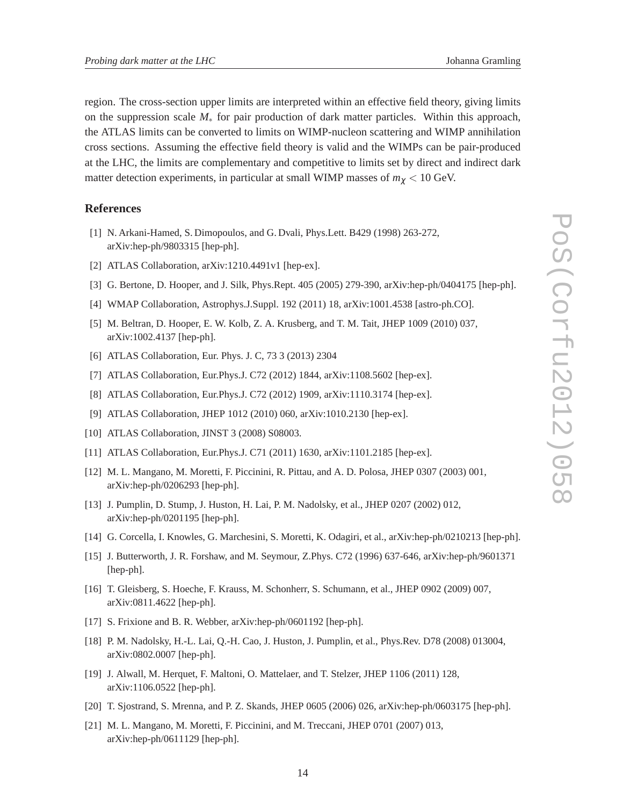region. The cross-section upper limits are interpreted within an effective field theory, giving limits on the suppression scale *M*<sup>∗</sup> for pair production of dark matter particles. Within this approach, the ATLAS limits can be converted to limits on WIMP-nucleon scattering and WIMP annihilation cross sections. Assuming the effective field theory is valid and the WIMPs can be pair-produced at the LHC, the limits are complementary and competitive to limits set by direct and indirect dark matter detection experiments, in particular at small WIMP masses of *m*<sup>χ</sup> < 10 GeV.

#### **References**

- [1] N. Arkani-Hamed, S. Dimopoulos, and G. Dvali, Phys.Lett. B429 (1998) 263-272, arXiv:hep-ph/9803315 [hep-ph].
- [2] ATLAS Collaboration, arXiv:1210.4491v1 [hep-ex].
- [3] G. Bertone, D. Hooper, and J. Silk, Phys.Rept. 405 (2005) 279-390, arXiv:hep-ph/0404175 [hep-ph].
- [4] WMAP Collaboration, Astrophys.J.Suppl. 192 (2011) 18, arXiv:1001.4538 [astro-ph.CO].
- [5] M. Beltran, D. Hooper, E. W. Kolb, Z. A. Krusberg, and T. M. Tait, JHEP 1009 (2010) 037, arXiv:1002.4137 [hep-ph].
- [6] ATLAS Collaboration, Eur. Phys. J. C, 73 3 (2013) 2304
- [7] ATLAS Collaboration, Eur.Phys.J. C72 (2012) 1844, arXiv:1108.5602 [hep-ex].
- [8] ATLAS Collaboration, Eur.Phys.J. C72 (2012) 1909, arXiv:1110.3174 [hep-ex].
- [9] ATLAS Collaboration, JHEP 1012 (2010) 060, arXiv:1010.2130 [hep-ex].
- [10] ATLAS Collaboration, JINST 3 (2008) S08003.
- [11] ATLAS Collaboration, Eur.Phys.J. C71 (2011) 1630, arXiv:1101.2185 [hep-ex].
- [12] M. L. Mangano, M. Moretti, F. Piccinini, R. Pittau, and A. D. Polosa, JHEP 0307 (2003) 001, arXiv:hep-ph/0206293 [hep-ph].
- [13] J. Pumplin, D. Stump, J. Huston, H. Lai, P. M. Nadolsky, et al., JHEP 0207 (2002) 012, arXiv:hep-ph/0201195 [hep-ph].
- [14] G. Corcella, I. Knowles, G. Marchesini, S. Moretti, K. Odagiri, et al., arXiv:hep-ph/0210213 [hep-ph].
- [15] J. Butterworth, J. R. Forshaw, and M. Seymour, Z.Phys. C72 (1996) 637-646, arXiv:hep-ph/9601371 [hep-ph].
- [16] T. Gleisberg, S. Hoeche, F. Krauss, M. Schonherr, S. Schumann, et al., JHEP 0902 (2009) 007, arXiv:0811.4622 [hep-ph].
- [17] S. Frixione and B. R. Webber, arXiv:hep-ph/0601192 [hep-ph].
- [18] P. M. Nadolsky, H.-L. Lai, Q.-H. Cao, J. Huston, J. Pumplin, et al., Phys.Rev. D78 (2008) 013004, arXiv:0802.0007 [hep-ph].
- [19] J. Alwall, M. Herquet, F. Maltoni, O. Mattelaer, and T. Stelzer, JHEP 1106 (2011) 128, arXiv:1106.0522 [hep-ph].
- [20] T. Sjostrand, S. Mrenna, and P. Z. Skands, JHEP 0605 (2006) 026, arXiv:hep-ph/0603175 [hep-ph].
- [21] M. L. Mangano, M. Moretti, F. Piccinini, and M. Treccani, JHEP 0701 (2007) 013, arXiv:hep-ph/0611129 [hep-ph].